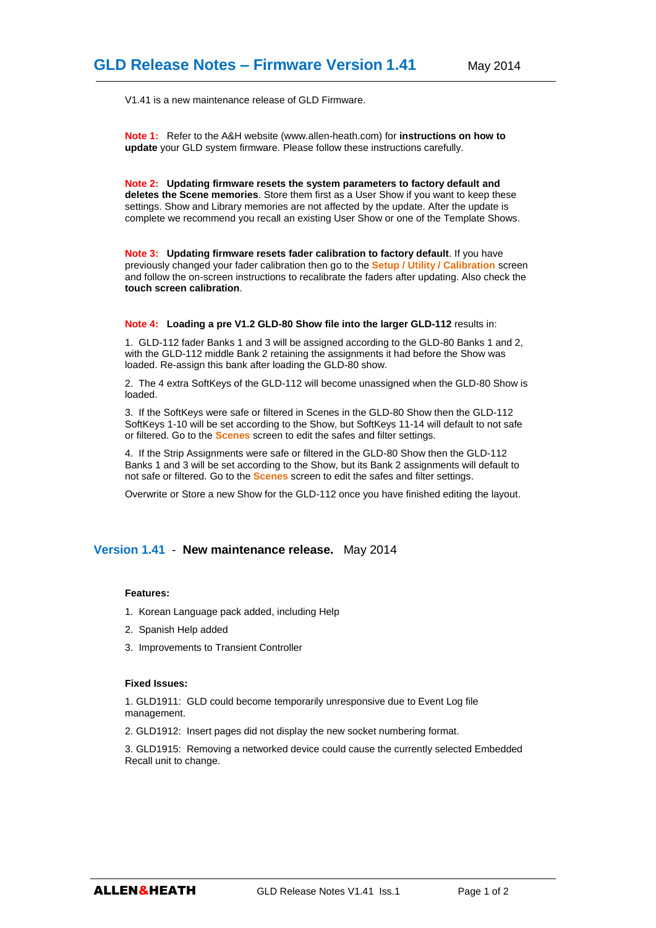V1.41 is a new maintenance release of GLD Firmware.

**Note 1:** Refer to the A&H website (www.allen-heath.com) for **instructions on how to update** your GLD system firmware. Please follow these instructions carefully.

**Note 2: Updating firmware resets the system parameters to factory default and deletes the Scene memories**. Store them first as a User Show if you want to keep these settings. Show and Library memories are not affected by the update. After the update is complete we recommend you recall an existing User Show or one of the Template Shows.

**Note 3: Updating firmware resets fader calibration to factory default**. If you have previously changed your fader calibration then go to the **Setup / Utility / Calibration** screen and follow the on-screen instructions to recalibrate the faders after updating. Also check the **touch screen calibration**.

**Note 4: Loading a pre V1.2 GLD-80 Show file into the larger GLD-112** results in:

1. GLD-112 fader Banks 1 and 3 will be assigned according to the GLD-80 Banks 1 and 2, with the GLD-112 middle Bank 2 retaining the assignments it had before the Show was loaded. Re-assign this bank after loading the GLD-80 show.

2. The 4 extra SoftKeys of the GLD-112 will become unassigned when the GLD-80 Show is loaded.

3. If the SoftKeys were safe or filtered in Scenes in the GLD-80 Show then the GLD-112 SoftKeys 1-10 will be set according to the Show, but SoftKeys 11-14 will default to not safe or filtered. Go to the **Scenes** screen to edit the safes and filter settings.

4. If the Strip Assignments were safe or filtered in the GLD-80 Show then the GLD-112 Banks 1 and 3 will be set according to the Show, but its Bank 2 assignments will default to not safe or filtered. Go to the **Scenes** screen to edit the safes and filter settings.

Overwrite or Store a new Show for the GLD-112 once you have finished editing the layout.

## **Version 1.41** - **New maintenance release.** May 2014

### **Features:**

- 1. Korean Language pack added, including Help
- 2. Spanish Help added
- 3. Improvements to Transient Controller

### **Fixed Issues:**

1. GLD1911: GLD could become temporarily unresponsive due to Event Log file management.

2. GLD1912: Insert pages did not display the new socket numbering format.

3. GLD1915: Removing a networked device could cause the currently selected Embedded Recall unit to change.